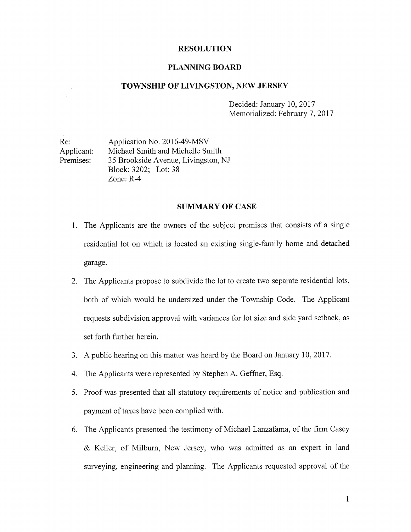#### RESOLUTION

#### PLANNING BOARD

#### TOWNSHIP OF LIVINGSTON, NEW JERSEY

Decided: January 10, 2017 Memorialized: February 7, 2017

Re: Application No. 2016-49-MSV Applicant: Michael Smith and Michelle Smith Premises: 35 Brookside Avenue, Livingston, NJ Block: 3202; Lot: 38 Zone: R-4

÷.

#### SUMMARY OF CASE

- 1. The Applicants are the owners of the subject premises that consists of <sup>a</sup> single residential lot on which is located an existing single-family home and detached garage.
- 2. The Applicants propose to subdivide the lot to create two separate residential lots, both of which would be undersized under the Township Code. The Applicant requests subdivision approval with variances for lot size and side yard setback, as set forth further herein.
- 3. A public hearing on this matter was heard by the Board on January 10, 2017.
- 4. The Applicants were represented by Stephen A. Geffner, Esq.
- 5. Proof was presented that all statutory requirements of notice and publication and payment of taxes have been complied with.
- 6. The Applicants presented the testimony of Michael Lanzafama, of the firm Casey & Keller, of Milbum, New Jersey, who was admitted as an expert in land surveying, engineering and planning. The Applicants requested approval of the

1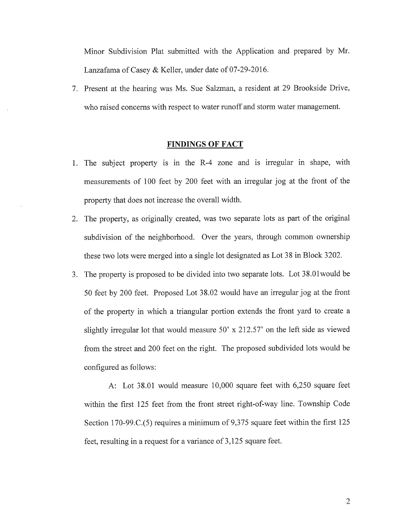Minor Subdivision Plat submitted with the Application and prepared by Mr. Lanzafama of Casey & Keller, under date of 07-29-2016.

7. Present at the hearing was Ms. Sue Salzman, a resident at 29 Brookside Drive, who raised concerns with respect to water runoff and storm water management.

#### FINDINGS OF FACT

- 1. The subject property is in the R-4 zone and is irregular in shape, with measurements of 100 feet by 200 feet with an irregular jog at the front of the property that does not increase the overall width.
- 2. The property, as originally created, was two separate lots as part of the original subdivision of the neighborhood. Over the years, through common ownership these two lots were merged into a single lot designated as Lot 38 in Block 3202.
- 3. The property is proposed to be divided into two separate lots. Lot 38.Olwould be 50 feet by 200 feet. Proposed Lot 38.02 would have an irregular jog at the front of the property in which <sup>a</sup> triangular portion extends the front yard to create <sup>a</sup> slightly irregular lot that would measure 50' x 212.57' on the left side as viewed from the street and 200 feet on the right. The proposed subdivided lots would be configured as follows:

A: Lot 38.01 would measure 10,000 square feet with 6,250 square feet within the first 125 feet from the front street right-of-way line. Township Code Section 170-99.C.(5) requires <sup>a</sup> minimum of 9,375 square feet within the first 125 feet, resulting in <sup>a</sup> request for <sup>a</sup> variance of 3,125 square feet.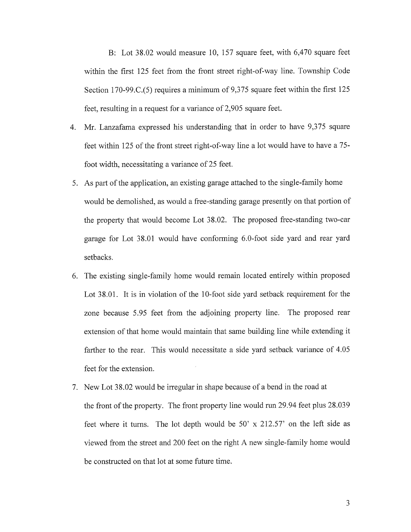B: Lot 38.02 would measure 10, 157 square feet, with 6,470 square feet within the first 125 feet from the front street right-of-way line. Township Code Section 170-99.C.(5) requires <sup>a</sup> minimum of 9,375 square feet within the first 125 feet, resulting in <sup>a</sup> request for a variance of 2,905 square feet.

- 4. Mr. Lanzafama expressed his understanding that in order to have 9,375 square feet within 125 of the front street right-of-way line <sup>a</sup> lot would have to have <sup>a</sup> 75 foot width, necessitating a variance of 25 feet.
- 5. As part of the application, an existing garage attached to the single-family home would be demolished, as would <sup>a</sup> free-standing garage presently on that portion of the property that would become Lot 38.02. The proposed free-standing two-car garage for Lot 38.01 would have conforming 6.0-foot side yard and rear yard setbacks.
- 6. The existing single-family home would remain located entirely within proposed Lot 38.01. It is in violation of the 10-foot side yard setback requirement for the zone because 5.95 feet from the adjoining property line. The proposed rear extension of that home would maintain that same building line while extending it farther to the rear. This would necessitate a side yard setback variance of 4.05 feet for the extension.
- 7. New Lot 38.02 would be irregular in shape because of <sup>a</sup> bend in the road at the front of the property. The front property line would run 29.94 feet plus 28.039 feet where it turns. The lot depth would be 50' x 212.57' on the left side as viewed from the street and 200 feet on the right A new single-family home would be constructed on that lot at some future time.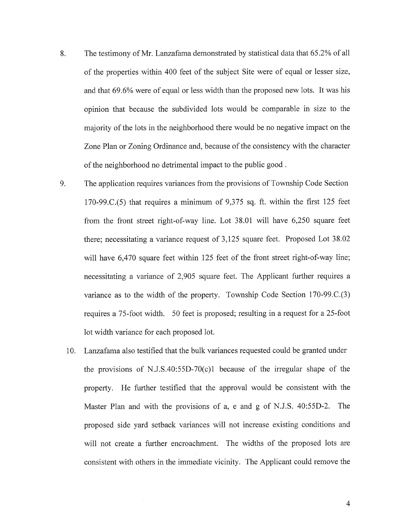- 8. The testimony of Mr. Lanzafama demonstrated by statistical data that 65.2% of all of the properties within 400 feet of the subject Site were of equal or lesser size, and that 69.6% were of equal or less width than the proposed new lots. It was his opinion that because the subdivided lots would be comparable in size to the majority of the lots in the neighborhood there would be no negative impact on the Zone Plan or Zoning Ordinance and, because of the consistency with the character of the neighborhood no detrimental impact to the public good.
- 9. The application requires variances from the provisions of Township Code Section 170-99.C.(5) that requires a minimum of 9,375 sq. ft. within the first 125 feet from the front street right-of-way line. Lot 38.01 will have 6,250 square feet there; necessitating <sup>a</sup> variance request of 3,125 square feet. Proposed Lot 38.02 will have 6,470 square feet within 125 feet of the front street right-of-way line; necessitating <sup>a</sup> variance of 2,905 square feet. The Applicant further requires a variance as to the width of the property. Township Code Section 170-99.C.(3) requires a 75-foot width. 50 feet is proposed; resulting in a request for a 25-foot lot width variance for each proposed lot.
	- 10. Lanzafama also testified that the bulk variances requested could be granted under the provisions of N.J.S.40:55D-70(c)1 because of the irregular shape of the property. He further testified that the approval would be consistent with the Master Plan and with the provisions of a, <sup>e</sup> and g of N.J.S. 40:55D-2. The proposed side yard setback variances will not increase existing conditions and will not create <sup>a</sup> further encroachment. The widths of the proposed lots are consistent with others in the immediate vicinity. The Applicant could remove the

4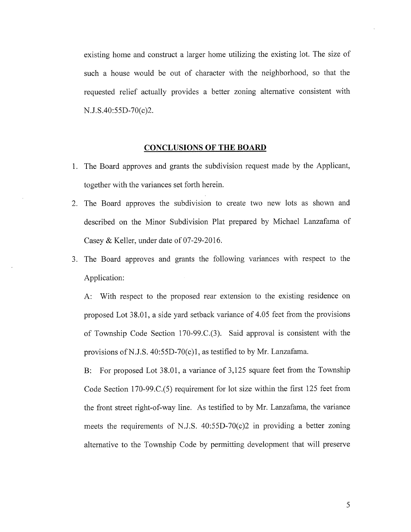existing home and construct a larger home utilizing the existing lot. The size of such <sup>a</sup> house would be out of character with the neighborhood, so that the requested relief actually provides a better zoning alternative consistent with N.J.S.40:55D-70(c)2.

#### CONCLUSIONS OF THE BOARD

- 1. The Board approves and grants the subdivision request made by the Applicant, together with the variances set forth herein.
- 2. The Board approves the subdivision to create two new lots as shown and described on the Minor Subdivision Plat prepared by Michael Lanzafama of Casey & Keller, under date of 07-29-2016.
- 3. The Board approves and grants the following variances with respect to the Application:

A: With respect to the proposed rear extension to the existing residence on proposed Lot 38.01, <sup>a</sup> side yard setback variance of 4.05 feet from the provisions of Township Code Section 170-99.C.(3). Said approval is consistent with the provisions of N.J.S.  $40:55D-70(c)1$ , as testified to by Mr. Lanzafama.

B: For proposed Lot 38.01, a variance of 3,125 square feet from the Township Code Section 170-99.C.(5) requirement for lot size within the first 125 feet from the front street right-of-way line. As testified to by Mr. Lanzafama, the variance meets the requirements of N.J.S. 40:55D-70(c)2 in providing <sup>a</sup> better zoning alternative to the Township Code by permitting development that will preserve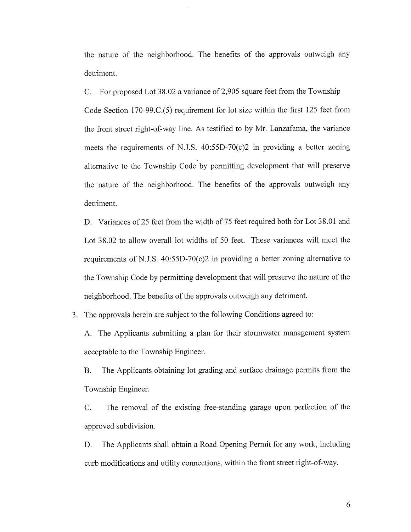the nature of the neighborhood. The benefits of the approvals outweigh any detriment.

C. For proposed Lot 38.02 <sup>a</sup> variance of 2,905 square feet from the Township Code Section 170-99.C.(5) requirement for lot size within the first 125 feet from the front street right-of-way line. As testified to by Mr. Lanzafama, the variance meets the requirements of N.J.S. 40:55D-70(c)2 in providing <sup>a</sup> better zoning alternative to the Township Code by permitting development that will preserve the nature of the neighborhood. The benefits of the approvals outweigh any detriment.

D. Variances of 25 feet from the width of 75 feet required both for Lot 38.01 and Lot 38.02 to allow overall lot widths of 50 feet. These variances will meet the requirements of N.J.S. 40:55D-70(c)2 in providing a better zoning alternative to the Township Code by permitting development that will preserve the nature of the neighborhood. The benefits of the approvals outweigh any detriment.

3. The approvals herein are subject to the following Conditions agreed to:

A. The Applicants submitting a plan for their stormwater management system acceptable to the Township Engineer.

B. The Applicants obtaining lot grading and surface drainage permits from the Township Engineer.

C. The removal of the existing free-standing garage upon perfection of the approved subdivision.

D. The Applicants shall obtain a Road Opening Permit for any work, including curb modifications and utility connections, within the front street right-of-way.

6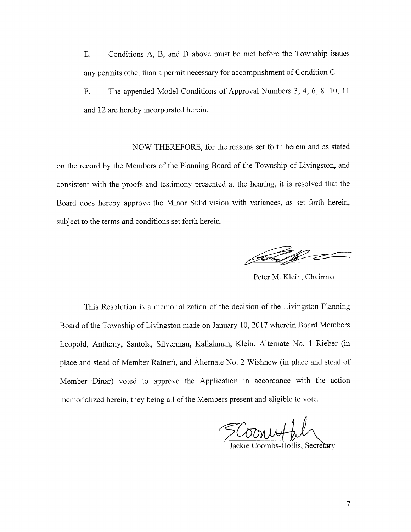E. Conditions A, B, and D above must be met before the Township issues any permits other than a permit necessary for accomplishment of Condition C.

F. The appended Model Conditions of Approval Numbers 3, 4, 6, 8, 10, <sup>11</sup> and 12 are hereby incorporated herein.

NOW THEREFORE, for the reasons set forth herein and as stated on the record by the Members of the Planning Board of the Township of Livingston, and consistent with the proofs and testimony presented at the hearing, it is resolved that the Board does hereby approve the Minor Subdivision with variances, as set forth herein, subject to the terms and conditions set forth herein.

Peter M. Klein, Chairman

This Resolution is <sup>a</sup> memorialization of the decision of the Livingston Planning Board of the Township of Livingston made on January 10, 2017 wherein Board Members Leopold, Anthony, Santola, Silverman, Kalishman, Klein, Alternate No. <sup>1</sup> Rieber (in place and stead of Member Ratner), and Alternate No. 2 Wishnew (in place and stead of Member Dinar) voted to approve the Application in accordance with the action memorialized herein, they being all of the Members present and eligible to vote.

SCoonworkl

Jackie Coombs-Hollis, Secr≥ary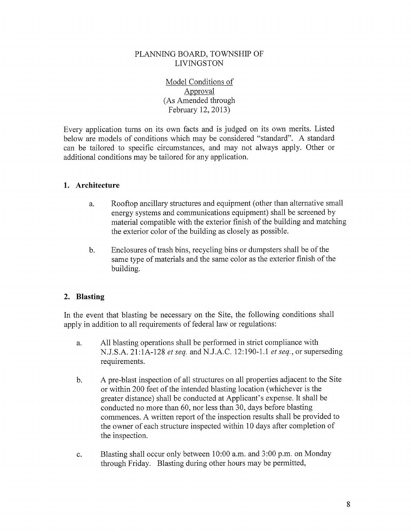### PLANNING BOARD, TOWNSHIP OF LIVINGSTON

Model Conditions of Approval (As Amended through February 12, 2013)

Every application turns on its own facts and is judged on its own merits. Listed below are models of conditions which may be considered "standard". A standard can be tailored to specific circumstances, and may not always apply. Other or additional conditions may be tailored for any application.

### 1. Architecture

- a. Rooftop ancillary structures and equipment (other than alternative small energy systems and communications equipment) shall be screened by material compatible with the exterior finish of the building and matching the exterior color of the building as closely as possible.
- b. Enclosures of trash bins, recycling bins or dumpsters shall be of the same type of materials and the same color as the exterior finish of the building.

## 2. Blasting

In the event that blasting be necessary on the Site, the following conditions shall apply in addition to all requirements of federal law or regulations:

- a. All blasting operations shall be performed in strict compliance with N.J.S.A. 21 :1A-128 et seq. and N.J.A.C. 12:190-1.1 et seq., or superseding requirements.
- b. A pre-blast inspection of all structures on all properties adjacent to the Site or within 200 feet of the intended blasting location (whichever is the greater distance) shall be conducted at Applicant's expense. It shall be conducted no more than 60, nor less than 30, days before blasting commences. A written report of the inspection results shall be provided to the owner of each structure inspected within <sup>10</sup> days after completion of the inspection.
- c. Blasting shall occur only between 10:00 a.m. and 3:00 p.m. on Monday through Friday. Blasting during other hours may be permitted,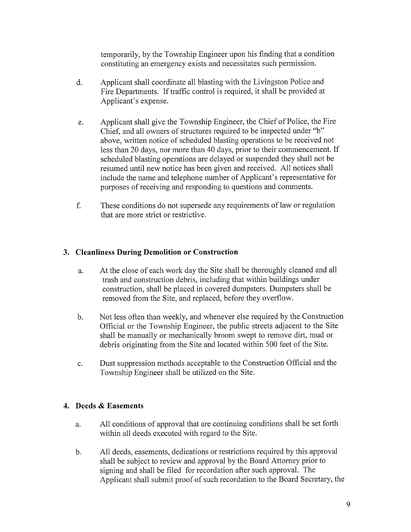temporarily, by the Township Engineer upon his finding that a condition constituting an emergency exists and necessitates such permission.

- d. Applicant shall coordinate all blasting with the Livingston Police and Fire Departments. If traffic control is required, it shall be provided at Applicant's expense.
- e. Applicant shall give the Township Engineer, the Chief of Police, the Fire Chief, and all owners of structures required to be inspected under "b" above, written notice of scheduled blasting operations to be received not less than <sup>20</sup> days, nor more than <sup>40</sup> days, prior to their commencement. If scheduled blasting operations are delayed or suspended they shall not be resumed until new notice has been given and received. All notices shall include the name and telephone number of Applicant's representative for purposes of receiving and responding to questions and comments.
- f. These conditions do not supersede any requirements of law or regulation that are more strict or restrictive.

## 3. Cleanliness During Demolition or Construction

- a. At the close of each work day the Site shall be thoroughly cleaned and all trash and construction debris, including that within buildings under construction, shall be placed in covered dumpsters. Dumpsters shall be removed from the Site, and replaced, before they overflow.
- b. Not less often than weekly, and whenever else required by the Construction Official or the Township Engineer, the public streets adjacent to the Site shall be manually or mechanically broom swept to remove dirt, mud or debris originating from the Site and located within 500 feet of the Site.
- c. Dust suppression methods acceptable to the Construction Official and the Township Engineer shall be utilized on the Site.

## 4. Deeds & Easements

- a. All conditions of approval that are continuing conditions shall be set forth within all deeds executed with regard to the Site.
- b. All deeds, easements, dedications or restrictions required by this approval shall be subject to review and approval by the Board Attorney prior to signing and shall be filed for recordation after such approval. The Applicant shall submit proof of such recordation to the Board Secretary, the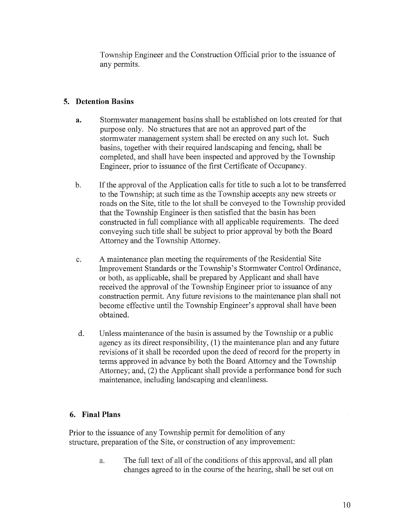Township Engineer and the Construction Official prior to the issuance of any permits.

# 5. Detention Basins

- a. Stormwater management basins shall be established on lots created for that purpose only. No structures that are not an approved part of the stormwater management system shall be erected on any such lot. Such basins, together with their required landscaping and fencing, shall be completed, and shall have been inspected and approved by the Township Engineer, prior to issuance of the first Certificate of Occupancy.
- b. If the approval of the Application calls for title to such <sup>a</sup> lot to be transferred to the Township; at such time as the Township accepts any new streets or roads on the Site, title to the lot shall be conveyed to the Township provided that the Township Engineer is then satisfied that the basin has been constructed in full compliance with all applicable requirements. The deed conveying such title shall be subject to prior approval by both the Board Attorney and the Township Attorney.
- c. A maintenance plan meeting the requirements of the Residential Site Improvement Standards or the Township's Stormwater Control Ordinance, or both, as applicable, shall be prepared by Applicant and shall have received the approval of the Township Engineer prior to issuance of any construction permit. Any future revisions to the maintenance plan shall not become effective until the Township Engineer's approval shall have been obtained.
- d. Unless maintenance of the basin is assumed by the Township or a public agency as its direct responsibility, (1) the maintenance plan and any future revisions of it shall be recorded upon the deed of record for the property in terms approved in advance by both the Board Attorney and the Township Attorney; and, (2) the Applicant shall provide a performance bond for such maintenance, including landscaping and cleanliness.

## 6. Final Plans

Prior to the issuance of any Township permit for demolition of any structure, preparation of the Site, or construction of any improvement:

> a. The full text of all of the conditions of this approval, and all plan changes agreed to in the course of the hearing, shall be set out on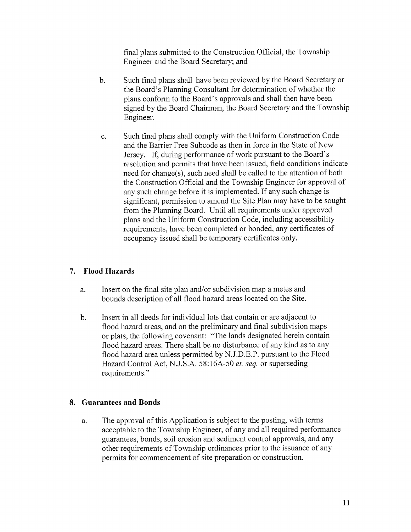final plans submitted to the Construction Official, the Township Engineer and the Board Secretary; and

- b. Such final plans shall have been reviewed by the Board Secretary or the Board's Planning Consultant for determination of whether the plans conform to the Board's approvals and shall then have been signed by the Board Chairman, the Board Secretary and the Township Engineer.
- c. Such final plans shall comply with the Uniform Construction Code and the Barrier Free Subcode as then in force in the State of New Jersey. If, during performance of work pursuant to the Board's resolution and permits that have been issued, field conditions indicate need for change(s), such need shall be called to the attention of both the Construction Official and the Township Engineer for approval of any such change before it is implemented. If any such change is significant, permission to amend the Site Plan may have to be sought from the Planning Board. Until all requirements under approved plans and the Uniform Construction Code, including accessibility requirements, have been completed or bonded, any certificates of occupancy issued shall be temporary certificates only.

## 7. Flood Hazards

- a. Insert on the final site plan and/or subdivision map a metes and bounds description of all flood hazard areas located on the Site.
- b. Insert in all deeds for individual lots that contain or are adjacent to flood hazard areas, and on the preliminary and final subdivision maps or plats, the following covenant: "The lands designated herein contain flood hazard areas. There shall be no disturbance of any kind as to any flood hazard area unless permitted by N.J.D.E.P. pursuant to the Flood Hazard Control Act, N.J.S.A. 58:16A-50 et. seq. or superseding requirements."

### 8. Guarantees and Bonds

a. The approval of this Application is subject to the posting, with terms acceptable to the Township Engineer, of any and all required performance guarantees, bonds, soil erosion and sediment control approvals, and any other requirements of Township ordinances prior to the issuance of any permits for commencement of site preparation or construction.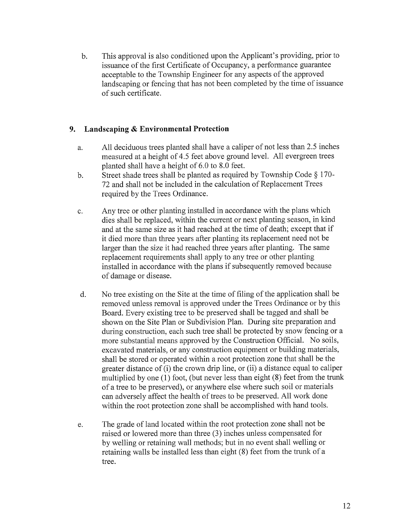b. This approval is also conditioned upon the Applicant's providing, prior to issuance of the first Certificate of Occupancy, <sup>a</sup> performance guarantee acceptable to the Township Engineer for any aspects of the approved landscaping or fencing that has not been completed by the time of issuance of such certificate.

## 9. Landscaping & Environmental Protection

- a. All deciduous trees planted shall have <sup>a</sup> caliper of not less than 2.5 inches measured at <sup>a</sup> height of 4.5 feet above ground level. All evergreen trees planted shall have a height of 6.0 to 8.0 feet.
- b. Street shade trees shall be planted as required by Township Code § 170- 72 and shall not be included in the calculation of Replacement Trees required by the Trees Ordinance.
- c. Any tree or other planting installed in accordance with the plans which dies shall be replaced, within the current or next planting season, in kind and at the same size as it had reached at the time of death; except that if it died more than three years after planting its replacement need not be larger than the size it had reached three years after planting. The same replacement requirements shall apply to any tree or other planting installed in accordance with the plans if subsequently removed because of damage or disease.
- d. No tree existing on the Site at the time of filing of the application shall be removed unless removal is approved under the Trees Ordinance or by this Board. Every existing tree to be preserved shall be tagged and shall be shown on the Site Plan or Subdivision Plan. During site preparation and during construction, each such tree shall be protected by snow fencing or a more substantial means approved by the Construction Official. No soils, excavated materials, or any construction equipment or building materials, shall be stored or operated within a root protection zone that shall be the greater distance of (i) the crown drip line, or (ii) <sup>a</sup> distance equal to caliper multiplied by one (1) foot, (but never less than eight (8) feet from the trunk of a tree to be preserved), or anywhere else where such soil or materials can adversely affect the health of trees to be preserved. All work done within the root protection zone shall be accomplished with hand tools.
- e. The grade of land located within the root protection zone shall not be raised or lowered more than three (3) inches unless compensated for by welling or retaining wall methods; but in no event shall welling or retaining walls be installed less than eight (8) feet from the trunk of <sup>a</sup> tree.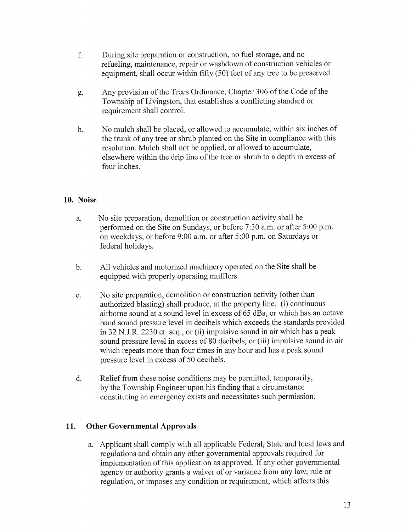- f. During site preparation or construction, no fuel storage, and no refueling, maintenance, repair or washdown of construction vehicles or equipment, shall occur within fifty (50) feet of any tree to be preserved.
- g. Any provision of the Trees Ordinance, Chapter 306 of the Code of the Township of Livingston, that establishes <sup>a</sup> conflicting standard or requirement shall control.
- h. No mulch shall be placed, or allowed to accumulate, within six inches of the trunk of any tree or shrub planted on the Site in compliance with this resolution. Mulch shall not be applied, or allowed to accumulate, elsewhere within the drip line of the tree or shrub to <sup>a</sup> depth in excess of four inches.

### 10. Noise

- a. No site preparation, demolition or construction activity shall be performed on the Site on Sundays, or before 7:30 a.m. or after 5:00 p.m. on weekdays, or before 9:00 a.m. or after 5:00 p.m. on Saturdays or federal holidays.
- b. All vehicles and motorized machinery operated on the Site shall be equipped with properly operating mufflers.
- c. No site preparation, demolition or construction activity (other than authorized blasting) shall produce, at the property line, (i) continuous airborne sound at <sup>a</sup> sound level in excess of 65 dBa, or which has an octave band sound pressure level in decibels which exceeds the standards provided in 32 N.J.R. 2230 et. seq., or (ii) impulsive sound in air which has <sup>a</sup> peak sound pressure level in excess of 80 decibels, or (iii) impulsive sound in air which repeats more than four times in any hour and has a peak sound pressure level in excess of 50 decibels.
- d. Relief from these noise conditions may be permitted, temporarily, by the Township Engineer upon his finding that a circumstance constituting an emergency exists and necessitates such permission.

### 11. Other Governmental Approvals

a. Applicant shall comply with all applicable Federal, State and local laws and regulations and obtain any other governmental approvals required for implementation of this application as approved. If any other governmental agency or authority grants a waiver of or variance from any law, rule or regulation, or imposes any condition or requirement, which affects this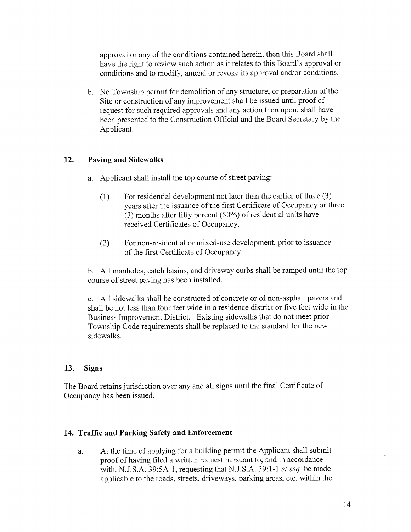approval or any of the conditions contained herein, then this Board shall have the right to review such action as it relates to this Board's approval or conditions and to modify, amend or revoke its approval and/or conditions.

b. No Township permit for demolition of any structure, or preparation of the Site or construction of any improvement shall be issued until proof of request for such required approvals and any action thereupon, shall have been presented to the Construction Official and the Board Secretary by the Applicant.

### 12. Paving and Sidewalks

- a. Applicant shall install the top course of street paving:
	- (1) For residential development not later than the earlier of three (3) years after the issuance of the first Certificate of Occupancy or three (3) months after fifty percent (50%) of residential units have received Certificates of Occupancy.
	- (2) For non-residential or mixed-use development, prior to issuance of the first Certificate of Occupancy.

b. All manholes, catch basins, and driveway curbs shall be ramped until the top course of street paving has been installed.

c. All sidewalks shall be constructed of concrete or of non-asphalt payers and shall be not less than four feet wide in a residence district or five feet wide in the Business Improvement District. Existing sidewalks that do not meet prior Township Code requirements shall be replaced to the standard for the new sidewalks.

### 13. Signs

The Board retains jurisdiction over any and all signs until the final Certificate of Occupancy has been issued.

### 14. Traffic and Parking Safety and Enforcement

a. At the time of applying for <sup>a</sup> building permit the Applicant shall submit proof of having filed <sup>a</sup> written request pursuant to, and in accordance with, N.J.S.A. 39:5A-1, requesting that N.J.S.A. 39:1-1 et seq. be made applicable to the roads, streets, driveways, parking areas, etc. within the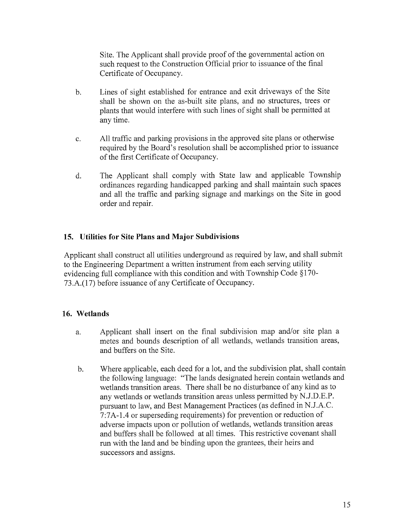Site. The Applicant shall provide proof of the governmental action on such request to the Construction Official prior to issuance of the final Certificate of Occupancy.

- b. Lines of sight established for entrance and exit driveways of the Site shall be shown on the as-built site plans, and no structures, trees or plants that would interfere with such lines of sight shall be permitted at any time.
- c. All traffic and parking provisions in the approved site plans or otherwise required by the Board's resolution shall be accomplished prior to issuance of the first Certificate of Occupancy.
- d. The Applicant shall comply with State law and applicable Township ordinances regarding handicapped parking and shall maintain such spaces and all the traffic and parking signage and markings on the Site in good order and repair.

### 15. Utilities for Site Plans and Major Subdivisions

Applicant shall construct all utilities underground as required by law, and shall submit to the Engineering Department <sup>a</sup> written instrument from each serving utility evidencing full compliance with this condition and with Township Code § 170- 73 .A.(l 7) before issuance of any Certificate of Occupancy.

### 16. Wetlands

- a. Applicant shall insert on the final subdivision map and/or site plan a metes and bounds description of all wetlands, wetlands transition areas, and buffers on the Site.
- b. Where applicable, each deed for a lot, and the subdivision plat, shall contain the following language: "The lands designated herein contain wetlands and wetlands transition areas. There shall be no disturbance of any kind as to any wetlands or wetlands transition areas unless permitted by N.J.D.E.P. pursuant to law, and Best Management Practices (as defined in N.J.A.C. <sup>7</sup> :7A- 1.4 or superseding requirements) for prevention or reduction of adverse impacts upon or pollution of wetlands, wetlands transition areas and buffers shall be followed at all times. This restrictive covenant shall run with the land and be binding upon the grantees, their heirs and successors and assigns.